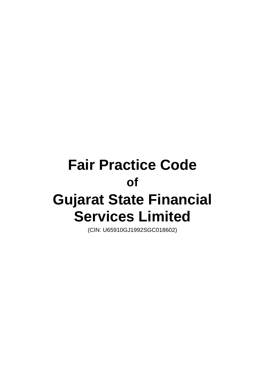# **Fair Practice Code of Gujarat State Financial Services Limited**

(CIN: U65910GJ1992SGC018602)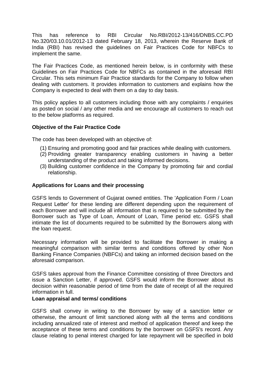This has reference to RBI Circular No.RBI/2012-13/416/DNBS.CC.PD No.320/03.10.01/2012-13 dated February 18, 2013, wherein the Reserve Bank of India (RBI) has revised the guidelines on Fair Practices Code for NBFCs to implement the same.

The Fair Practices Code, as mentioned herein below, is in conformity with these Guidelines on Fair Practices Code for NBFCs as contained in the aforesaid RBI Circular. This sets minimum Fair Practice standards for the Company to follow when dealing with customers. It provides information to customers and explains how the Company is expected to deal with them on a day to day basis.

This policy applies to all customers including those with any complaints / enquiries as posted on social / any other media and we encourage all customers to reach out to the below platforms as required.

### **Objective of the Fair Practice Code**

The code has been developed with an objective of:

- (1) Ensuring and promoting good and fair practices while dealing with customers.
- (2) Providing greater transparency enabling customers in having a better understanding of the product and taking informed decisions.
- (3) Building customer confidence in the Company by promoting fair and cordial relationship.

#### **Applications for Loans and their processing**

GSFS lends to Government of Gujarat owned entities. The 'Application Form / Loan Request Letter' for these lending are different depending upon the requirement of each Borrower and will include all information that is required to be submitted by the Borrower such as Type of Loan, Amount of Loan, Time period etc. GSFS shall intimate the list of documents required to be submitted by the Borrowers along with the loan request.

Necessary information will be provided to facilitate the Borrower in making a meaningful comparison with similar terms and conditions offered by other Non Banking Finance Companies (NBFCs) and taking an informed decision based on the aforesaid comparison.

GSFS takes approval from the Finance Committee consisting of three Directors and issue a Sanction Letter, if approved. GSFS would inform the Borrower about its decision within reasonable period of time from the date of receipt of all the required information in full.

#### **Loan appraisal and terms/ conditions**

GSFS shall convey in writing to the Borrower by way of a sanction letter or otherwise, the amount of limit sanctioned along with all the terms and conditions including annualized rate of interest and method of application thereof and keep the acceptance of these terms and conditions by the borrower on GSFS's record. Any clause relating to penal interest charged for late repayment will be specified in bold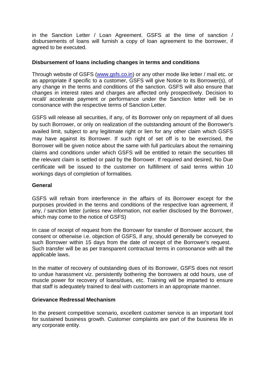in the Sanction Letter / Loan Agreement. GSFS at the time of sanction / disbursements of loans will furnish a copy of loan agreement to the borrower, if agreed to be executed.

## **Disbursement of loans including changes in terms and conditions**

Through website of GSFS [\(www.gsfs.co.in\)](http://www.gsfs.co.in/) or any other mode like letter / mail etc. or as appropriate if specific to a customer, GSFS will give Notice to its Borrower(s), of any change in the terms and conditions of the sanction. GSFS will also ensure that changes in interest rates and charges are affected only prospectively. Decision to recall/ accelerate payment or performance under the Sanction letter will be in consonance with the respective terms of Sanction Letter.

GSFS will release all securities, if any, of its Borrower only on repayment of all dues by such Borrower, or only on realization of the outstanding amount of the Borrower's availed limit, subject to any legitimate right or lien for any other claim which GSFS may have against its Borrower. If such right of set off is to be exercised, the Borrower will be given notice about the same with full particulars about the remaining claims and conditions under which GSFS will be entitled to retain the securities till the relevant claim is settled or paid by the Borrower. If required and desired, No Due certificate will be issued to the customer on fulfillment of said terms within 10 workings days of completion of formalities.

### **General**

GSFS will refrain from interference in the affairs of its Borrower except for the purposes provided in the terms and conditions of the respective loan agreement, if any, / sanction letter (unless new information, not earlier disclosed by the Borrower, which may come to the notice of GSFS)

In case of receipt of request from the Borrower for transfer of Borrower account, the consent or otherwise i.e. objection of GSFS, if any, should generally be conveyed to such Borrower within 15 days from the date of receipt of the Borrower's request. Such transfer will be as per transparent contractual terms in consonance with all the applicable laws.

In the matter of recovery of outstanding dues of its Borrower, GSFS does not resort to undue harassment viz. persistently bothering the borrowers at odd hours, use of muscle power for recovery of loans/dues, etc. Training will be imparted to ensure that staff is adequately trained to deal with customers in an appropriate manner.

### **Grievance Redressal Mechanism**

In the present competitive scenario, excellent customer service is an important tool for sustained business growth. Customer complaints are part of the business life in any corporate entity.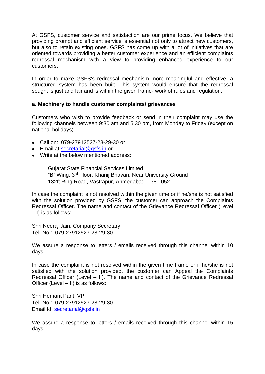At GSFS, customer service and satisfaction are our prime focus. We believe that providing prompt and efficient service is essential not only to attract new customers, but also to retain existing ones. GSFS has come up with a lot of initiatives that are oriented towards providing a better customer experience and an efficient complaints redressal mechanism with a view to providing enhanced experience to our customers.

In order to make GSFS's redressal mechanism more meaningful and effective, a structured system has been built. This system would ensure that the redressal sought is just and fair and is within the given frame- work of rules and regulation.

## **a. Machinery to handle customer complaints/ grievances**

Customers who wish to provide feedback or send in their complaint may use the following channels between 9:30 am and 5:30 pm, from Monday to Friday (except on national holidays).

- Call on: 079-27912527-28-29-30 or
- Email at [secretarial@gsfs.in](mailto:secretarial@gsfs.in) or
- Write at the below mentioned address:

Gujarat State Financial Services Limited "B" Wing, 3 rd Floor, Khanij Bhavan, Near University Ground 132ft Ring Road, Vastrapur, Ahmedabad – 380 052

In case the complaint is not resolved within the given time or if he/she is not satisfied with the solution provided by GSFS, the customer can approach the Complaints Redressal Officer. The name and contact of the Grievance Redressal Officer (Level – I) is as follows:

Shri Neeraj Jain, Company Secretary Tel. No.: 079-27912527-28-29-30

We assure a response to letters / emails received through this channel within 10 days.

In case the complaint is not resolved within the given time frame or if he/she is not satisfied with the solution provided, the customer can Appeal the Complaints Redressal Officer (Level – II). The name and contact of the Grievance Redressal Officer (Level – II) is as follows:

Shri Hemant Pant, VP Tel. No.: 079-27912527-28-29-30 Email Id: [secretarial@gsfs.in](mailto:secretarial@gsfs.in)

We assure a response to letters / emails received through this channel within 15 days.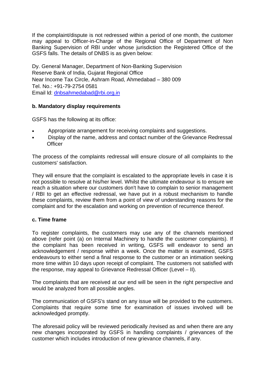If the complaint/dispute is not redressed within a period of one month, the customer may appeal to Officer-in-Charge of the Regional Office of Department of Non Banking Supervision of RBI under whose jurisdiction the Registered Office of the GSFS falls. The details of DNBS is as given below:

Dy. General Manager, Department of Non-Banking Supervision Reserve Bank of India, Gujarat Regional Office Near Income Tax Circle, Ashram Road, Ahmedabad – 380 009 Tel. No.: +91-79-2754 0581 Email ld: [dnbsahmedabad@rbi.org.in](mailto:dnbsahmedabad@rbi.org.in)

## **b. Mandatory display requirements**

GSFS has the following at its office:

- Appropriate arrangement for receiving complaints and suggestions.
- Display of the name, address and contact number of the Grievance Redressal **Officer**

The process of the complaints redressal will ensure closure of all complaints to the customers' satisfaction.

They will ensure that the complaint is escalated to the appropriate levels in case it is not possible to resolve at his/her level. Whilst the ultimate endeavour is to ensure we reach a situation where our customers don't have to complain to senior management / RBI to get an effective redressal, we have put in a robust mechanism to handle these complaints, review them from a point of view of understanding reasons for the complaint and for the escalation and working on prevention of recurrence thereof.

### **c. Time frame**

To register complaints, the customers may use any of the channels mentioned above (refer point (a) on Internal Machinery to handle the customer complaints). If the complaint has been received in writing, GSFS will endeavor to send an acknowledgement / response within a week. Once the matter is examined, GSFS endeavours to either send a final response to the customer or an intimation seeking more time within 10 days upon receipt of complaint. The customers not satisfied with the response, may appeal to Grievance Redressal Officer (Level – II).

The complaints that are received at our end will be seen in the right perspective and would be analyzed from all possible angles.

The communication of GSFS's stand on any issue will be provided to the customers. Complaints that require some time for examination of issues involved will be acknowledged promptly.

The aforesaid policy will be reviewed periodically /revised as and when there are any new changes incorporated by GSFS in handling complaints / grievances of the customer which includes introduction of new grievance channels, if any.